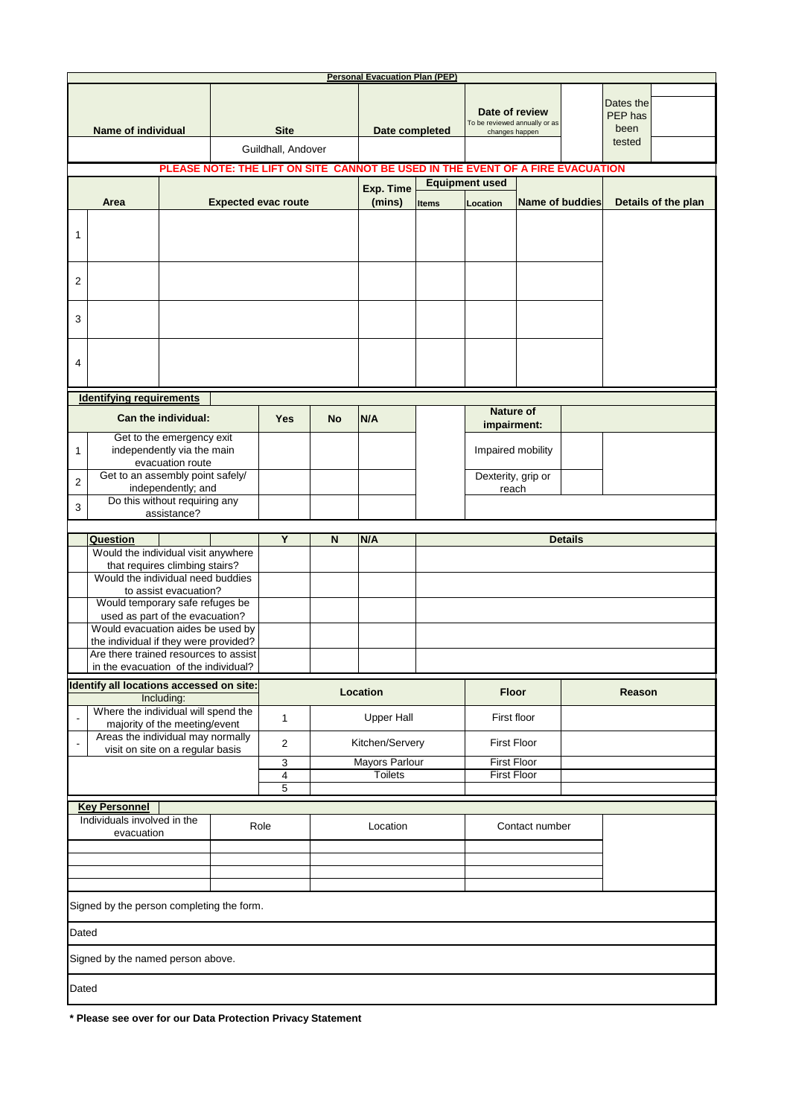| <b>Personal Evacuation Plan (PEP)</b>                                            |                                                                       |             |                                   |            |                            |                                         |                                                                                                         |                                          |  |                                        |  |  |
|----------------------------------------------------------------------------------|-----------------------------------------------------------------------|-------------|-----------------------------------|------------|----------------------------|-----------------------------------------|---------------------------------------------------------------------------------------------------------|------------------------------------------|--|----------------------------------------|--|--|
| <b>Name of individual</b>                                                        |                                                                       |             | <b>Site</b><br>Guildhall, Andover |            | Date completed             |                                         | Date of review<br>To be reviewed annually or as<br>changes happen                                       |                                          |  | Dates the<br>PEP has<br>been<br>tested |  |  |
|                                                                                  |                                                                       |             |                                   |            |                            |                                         |                                                                                                         |                                          |  |                                        |  |  |
|                                                                                  |                                                                       |             |                                   |            |                            |                                         | PLEASE NOTE: THE LIFT ON SITE CANNOT BE USED IN THE EVENT OF A FIRE EVACUATION<br><b>Equipment used</b> |                                          |  |                                        |  |  |
|                                                                                  | <b>Expected evac route</b><br>Area                                    |             |                                   |            |                            | Exp. Time<br>(mins)                     | <b>Items</b>                                                                                            | <b>Name of buddies</b><br>Location       |  | Details of the plan                    |  |  |
|                                                                                  |                                                                       |             |                                   |            |                            |                                         |                                                                                                         |                                          |  |                                        |  |  |
| 1                                                                                |                                                                       |             |                                   |            |                            |                                         |                                                                                                         |                                          |  |                                        |  |  |
| 2                                                                                |                                                                       |             |                                   |            |                            |                                         |                                                                                                         |                                          |  |                                        |  |  |
| 3                                                                                |                                                                       |             |                                   |            |                            |                                         |                                                                                                         |                                          |  |                                        |  |  |
| 4                                                                                |                                                                       |             |                                   |            |                            |                                         |                                                                                                         |                                          |  |                                        |  |  |
| <b>Identifying requirements</b>                                                  |                                                                       |             |                                   |            |                            |                                         |                                                                                                         |                                          |  |                                        |  |  |
|                                                                                  | Can the individual:                                                   |             |                                   | <b>Yes</b> | <b>No</b>                  | N/A                                     |                                                                                                         | <b>Nature of</b><br>impairment:          |  |                                        |  |  |
| 1                                                                                | Get to the emergency exit<br>independently via the main               |             |                                   |            |                            |                                         |                                                                                                         | Impaired mobility                        |  |                                        |  |  |
| $\overline{\mathbf{c}}$                                                          | evacuation route<br>Get to an assembly point safely/                  |             |                                   |            |                            |                                         |                                                                                                         | Dexterity, grip or                       |  |                                        |  |  |
|                                                                                  | independently; and<br>Do this without requiring any                   |             |                                   |            |                            |                                         |                                                                                                         | reach                                    |  |                                        |  |  |
| 3                                                                                |                                                                       | assistance? |                                   |            |                            |                                         |                                                                                                         |                                          |  |                                        |  |  |
|                                                                                  | Question                                                              |             |                                   | Y          | N/A<br>N<br><b>Details</b> |                                         |                                                                                                         |                                          |  |                                        |  |  |
|                                                                                  | Would the individual visit anywhere<br>that requires climbing stairs? |             |                                   |            |                            |                                         |                                                                                                         |                                          |  |                                        |  |  |
|                                                                                  | Would the individual need buddies<br>to assist evacuation?            |             |                                   |            |                            |                                         |                                                                                                         |                                          |  |                                        |  |  |
|                                                                                  | Would temporary safe refuges be                                       |             |                                   |            |                            |                                         |                                                                                                         |                                          |  |                                        |  |  |
|                                                                                  | used as part of the evacuation?<br>Would evacuation aides be used by  |             |                                   |            |                            |                                         |                                                                                                         |                                          |  |                                        |  |  |
|                                                                                  | the individual if they were provided?                                 |             |                                   |            |                            |                                         |                                                                                                         |                                          |  |                                        |  |  |
|                                                                                  | Are there trained resources to assist                                 |             |                                   |            |                            |                                         |                                                                                                         |                                          |  |                                        |  |  |
| in the evacuation of the individual?<br>Identify all locations accessed on site: |                                                                       |             |                                   |            |                            |                                         |                                                                                                         |                                          |  |                                        |  |  |
|                                                                                  |                                                                       | Including:  |                                   | Location   |                            |                                         |                                                                                                         | <b>Floor</b>                             |  | Reason                                 |  |  |
|                                                                                  | Where the individual will spend the<br>majority of the meeting/event  |             |                                   | 1          | <b>Upper Hall</b>          |                                         |                                                                                                         | First floor                              |  |                                        |  |  |
|                                                                                  | Areas the individual may normally<br>visit on site on a regular basis |             |                                   | 2          |                            | Kitchen/Servery                         |                                                                                                         | <b>First Floor</b>                       |  |                                        |  |  |
|                                                                                  |                                                                       |             |                                   | 3<br>4     |                            | <b>Mayors Parlour</b><br><b>Toilets</b> |                                                                                                         | <b>First Floor</b><br><b>First Floor</b> |  |                                        |  |  |
|                                                                                  |                                                                       |             | 5                                 |            |                            |                                         |                                                                                                         |                                          |  |                                        |  |  |
| <b>Key Personnel</b>                                                             |                                                                       |             |                                   |            |                            |                                         |                                                                                                         |                                          |  |                                        |  |  |
|                                                                                  | Individuals involved in the                                           |             |                                   | Role       |                            | Location                                |                                                                                                         | Contact number                           |  |                                        |  |  |
| evacuation                                                                       |                                                                       |             |                                   |            |                            |                                         |                                                                                                         |                                          |  |                                        |  |  |
|                                                                                  |                                                                       |             |                                   |            |                            |                                         |                                                                                                         |                                          |  |                                        |  |  |
|                                                                                  |                                                                       |             |                                   |            |                            |                                         |                                                                                                         |                                          |  |                                        |  |  |
| Signed by the person completing the form.                                        |                                                                       |             |                                   |            |                            |                                         |                                                                                                         |                                          |  |                                        |  |  |
| Dated                                                                            |                                                                       |             |                                   |            |                            |                                         |                                                                                                         |                                          |  |                                        |  |  |
| Signed by the named person above.                                                |                                                                       |             |                                   |            |                            |                                         |                                                                                                         |                                          |  |                                        |  |  |
| Dated                                                                            |                                                                       |             |                                   |            |                            |                                         |                                                                                                         |                                          |  |                                        |  |  |

**\* Please see over for our Data Protection Privacy Statement**